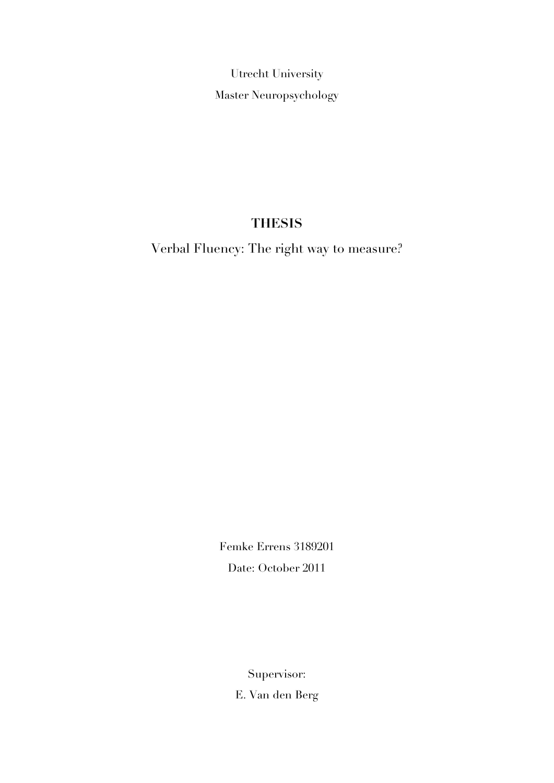Utrecht University Master Neuropsychology

# **THESIS**

Verbal Fluency: The right way to measure?

Femke Errens 3189201 Date: October 2011

Supervisor:

E. Van den Berg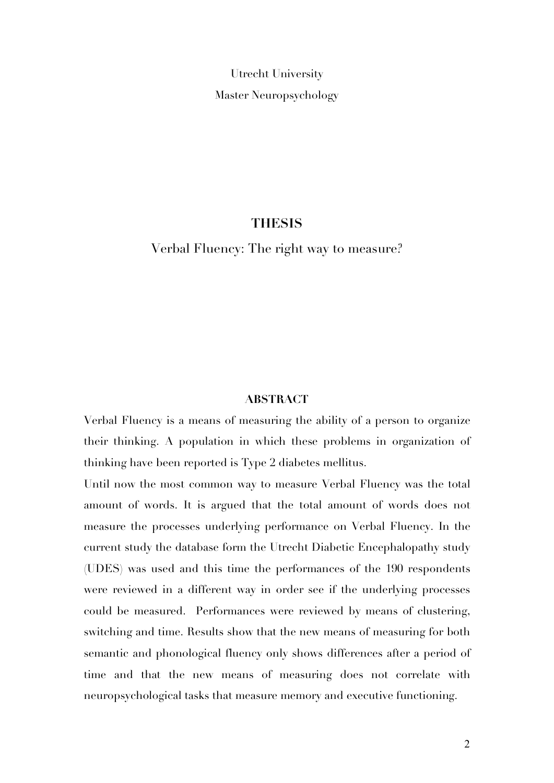Utrecht University Master Neuropsychology

# **THESIS**

Verbal Fluency: The right way to measure?

## **ABSTRACT**

Verbal Fluency is a means of measuring the ability of a person to organize their thinking. A population in which these problems in organization of thinking have been reported is Type 2 diabetes mellitus.

Until now the most common way to measure Verbal Fluency was the total amount of words. It is argued that the total amount of words does not measure the processes underlying performance on Verbal Fluency. In the current study the database form the Utrecht Diabetic Encephalopathy study (UDES) was used and this time the performances of the 190 respondents were reviewed in a different way in order see if the underlying processes could be measured. Performances were reviewed by means of clustering, switching and time. Results show that the new means of measuring for both semantic and phonological fluency only shows differences after a period of time and that the new means of measuring does not correlate with neuropsychological tasks that measure memory and executive functioning.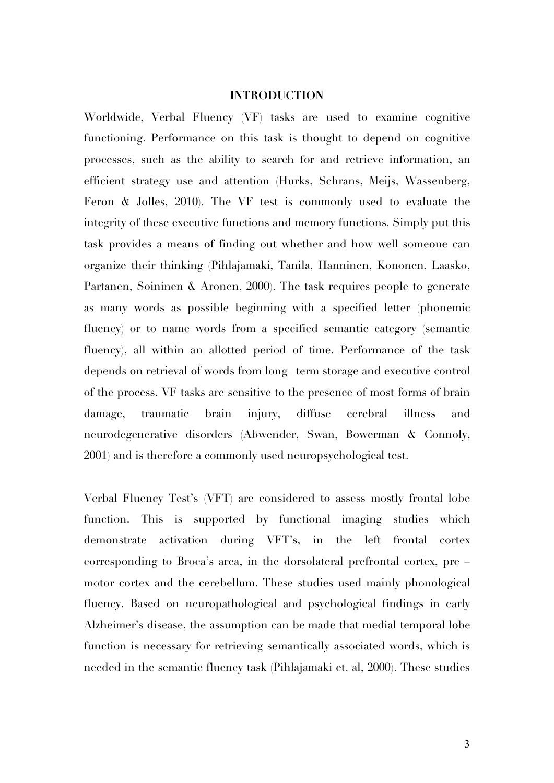## **INTRODUCTION**

Worldwide, Verbal Fluency (VF) tasks are used to examine cognitive functioning. Performance on this task is thought to depend on cognitive processes, such as the ability to search for and retrieve information, an efficient strategy use and attention (Hurks, Schrans, Meijs, Wassenberg, Feron & Jolles, 2010). The VF test is commonly used to evaluate the integrity of these executive functions and memory functions. Simply put this task provides a means of finding out whether and how well someone can organize their thinking (Pihlajamaki, Tanila, Hanninen, Kononen, Laasko, Partanen, Soininen & Aronen, 2000). The task requires people to generate as many words as possible beginning with a specified letter (phonemic fluency) or to name words from a specified semantic category (semantic fluency), all within an allotted period of time. Performance of the task depends on retrieval of words from long –term storage and executive control of the process. VF tasks are sensitive to the presence of most forms of brain damage, traumatic brain injury, diffuse cerebral illness and neurodegenerative disorders (Abwender, Swan, Bowerman & Connoly, 2001) and is therefore a commonly used neuropsychological test.

Verbal Fluency Test's (VFT) are considered to assess mostly frontal lobe function. This is supported by functional imaging studies which demonstrate activation during VFT's, in the left frontal cortex corresponding to Broca's area, in the dorsolateral prefrontal cortex, pre – motor cortex and the cerebellum. These studies used mainly phonological fluency. Based on neuropathological and psychological findings in early Alzheimer's disease, the assumption can be made that medial temporal lobe function is necessary for retrieving semantically associated words, which is needed in the semantic fluency task (Pihlajamaki et. al, 2000). These studies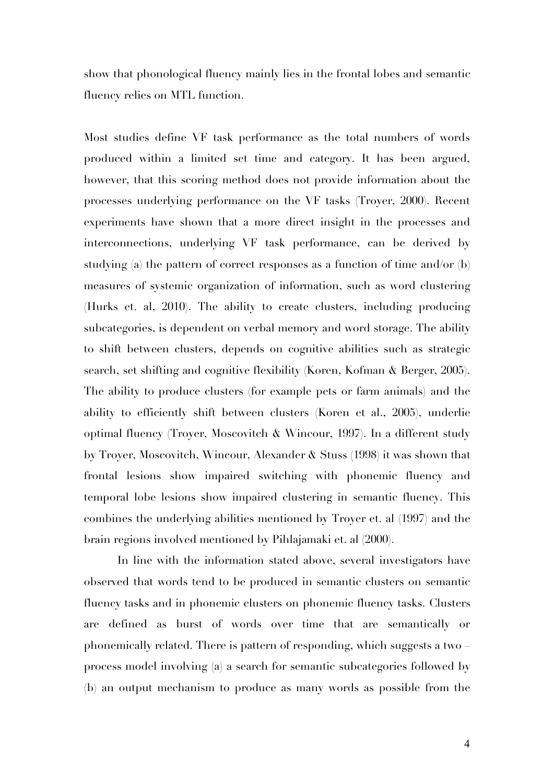show that phonological fluency mainly lies in the frontal lobes and semantic fluency relies on MTL function.

Most studies define VF task performance as the total numbers of words produced within a limited set time and category. It has been argued, however, that this scoring method does not provide information about the processes underlying performance on the VF tasks (Troyer, 2000). Recent experiments have shown that a more direct insight in the processes and interconnections, underlying VF task performance, can be derived by studying (a) the pattern of correct responses as a function of time and/or (b) measures of systemic organization of information, such as word clustering (Hurks et. al, 2010). The ability to create clusters, including producing subcategories, is dependent on verbal memory and word storage. The ability to shift between clusters, depends on cognitive abilities such as strategic search, set shifting and cognitive flexibility (Koren, Kofman & Berger, 2005). The ability to produce clusters (for example pets or farm animals) and the ability to efficiently shift between clusters (Koren et al., 2005), underlie optimal fluency (Troyer, Moscovitch & Wincour, 1997). In a different study by Troyer, Moscovitch, Wincour, Alexander & Stuss (1998) it was shown that frontal lesions show impaired switching with phonemic fluency and temporal lobe lesions show impaired clustering in semantic fluency. This combines the underlying abilities mentioned by Troyer et. al (1997) and the brain regions involved mentioned by Pihlajamaki et. al (2000).

In line with the information stated above, several investigators have observed that words tend to be produced in semantic clusters on semantic fluency tasks and in phonemic clusters on phonemic fluency tasks. Clusters are defined as burst of words over time that are semantically or phonemically related. There is pattern of responding, which suggests a two – process model involving (a) a search for semantic subcategories followed by (b) an output mechanism to produce as many words as possible from the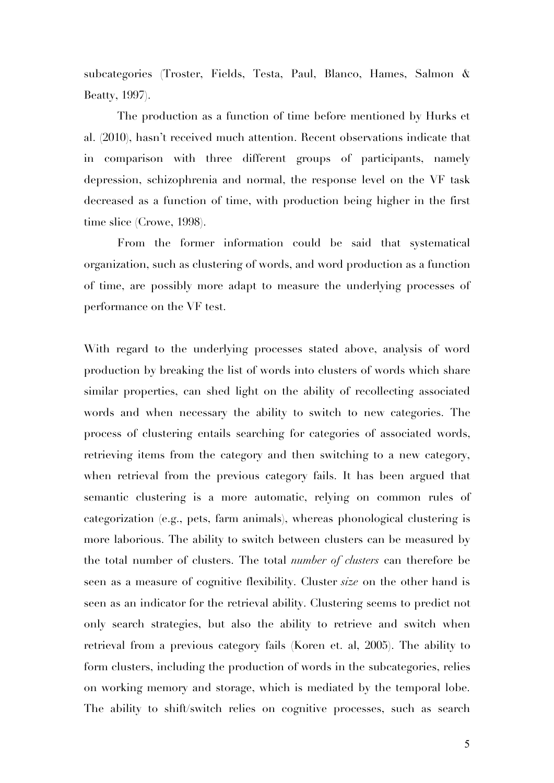subcategories (Troster, Fields, Testa, Paul, Blanco, Hames, Salmon & Beatty, 1997).

The production as a function of time before mentioned by Hurks et al. (2010), hasn't received much attention. Recent observations indicate that in comparison with three different groups of participants, namely depression, schizophrenia and normal, the response level on the VF task decreased as a function of time, with production being higher in the first time slice (Crowe, 1998).

From the former information could be said that systematical organization, such as clustering of words, and word production as a function of time, are possibly more adapt to measure the underlying processes of performance on the VF test.

With regard to the underlying processes stated above, analysis of word production by breaking the list of words into clusters of words which share similar properties, can shed light on the ability of recollecting associated words and when necessary the ability to switch to new categories. The process of clustering entails searching for categories of associated words, retrieving items from the category and then switching to a new category, when retrieval from the previous category fails. It has been argued that semantic clustering is a more automatic, relying on common rules of categorization (e.g., pets, farm animals), whereas phonological clustering is more laborious. The ability to switch between clusters can be measured by the total number of clusters. The total *number of clusters* can therefore be seen as a measure of cognitive flexibility. Cluster *size* on the other hand is seen as an indicator for the retrieval ability. Clustering seems to predict not only search strategies, but also the ability to retrieve and switch when retrieval from a previous category fails (Koren et. al, 2005). The ability to form clusters, including the production of words in the subcategories, relies on working memory and storage, which is mediated by the temporal lobe. The ability to shift/switch relies on cognitive processes, such as search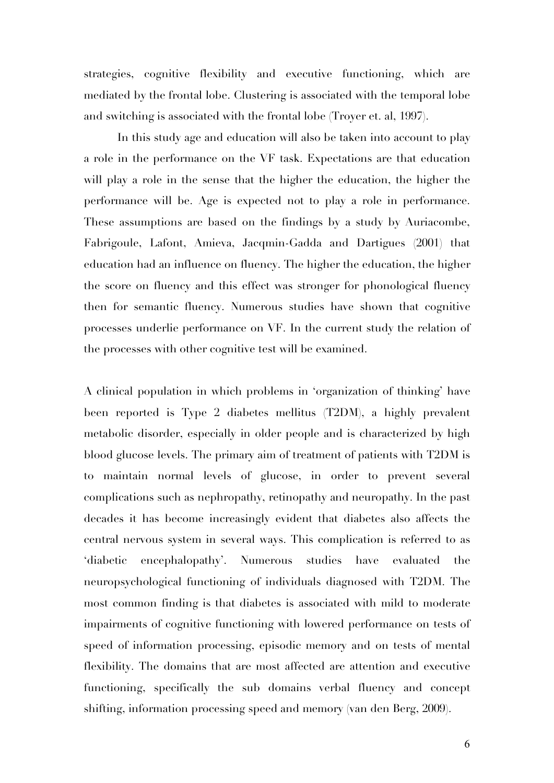strategies, cognitive flexibility and executive functioning, which are mediated by the frontal lobe. Clustering is associated with the temporal lobe and switching is associated with the frontal lobe (Troyer et. al, 1997).

In this study age and education will also be taken into account to play a role in the performance on the VF task. Expectations are that education will play a role in the sense that the higher the education, the higher the performance will be. Age is expected not to play a role in performance. These assumptions are based on the findings by a study by Auriacombe, Fabrigoule, Lafont, Amieva, Jacqmin-Gadda and Dartigues (2001) that education had an influence on fluency. The higher the education, the higher the score on fluency and this effect was stronger for phonological fluency then for semantic fluency. Numerous studies have shown that cognitive processes underlie performance on VF. In the current study the relation of the processes with other cognitive test will be examined.

A clinical population in which problems in 'organization of thinking' have been reported is Type 2 diabetes mellitus (T2DM), a highly prevalent metabolic disorder, especially in older people and is characterized by high blood glucose levels. The primary aim of treatment of patients with T2DM is to maintain normal levels of glucose, in order to prevent several complications such as nephropathy, retinopathy and neuropathy. In the past decades it has become increasingly evident that diabetes also affects the central nervous system in several ways. This complication is referred to as 'diabetic encephalopathy'. Numerous studies have evaluated the neuropsychological functioning of individuals diagnosed with T2DM. The most common finding is that diabetes is associated with mild to moderate impairments of cognitive functioning with lowered performance on tests of speed of information processing, episodic memory and on tests of mental flexibility. The domains that are most affected are attention and executive functioning, specifically the sub domains verbal fluency and concept shifting, information processing speed and memory (van den Berg, 2009).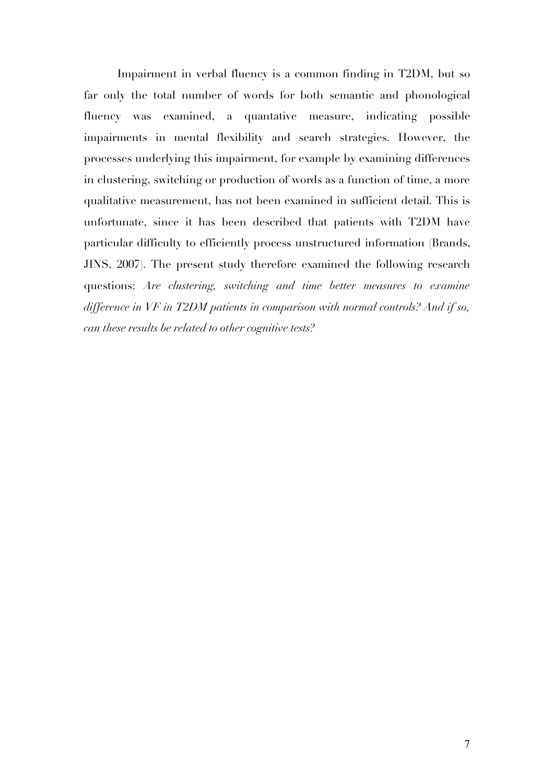Impairment in verbal fluency is a common finding in T2DM, but so far only the total number of words for both semantic and phonological fluency was examined, a quantative measure, indicating possible impairments in mental flexibility and search strategies. However, the processes underlying this impairment, for example by examining differences in clustering, switching or production of words as a function of time, a more qualitative measurement, has not been examined in sufficient detail. This is unfortunate, since it has been described that patients with T2DM have particular difficulty to efficiently process unstructured information (Brands, JINS, 2007). The present study therefore examined the following research questions: *Are clustering, switching and time better measures to examine difference in VF in T2DM patients in comparison with normal controls? And if so, can these results be related to other cognitive tests?*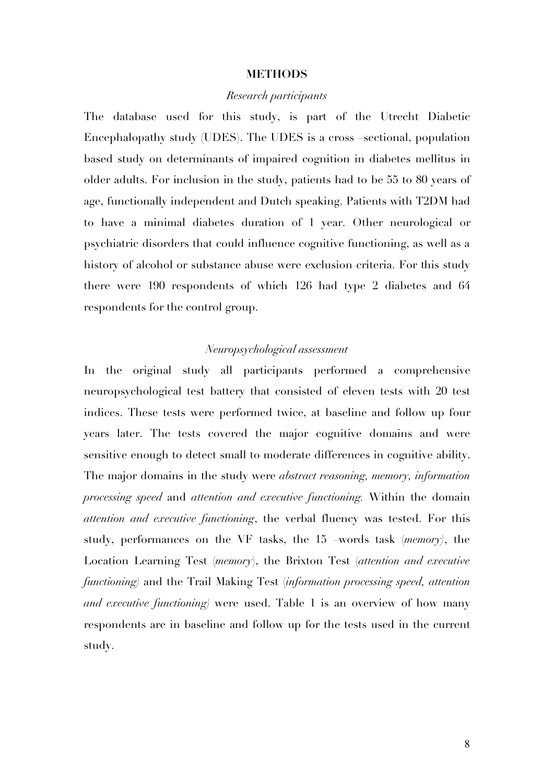#### **METHODS**

## *Research participants*

The database used for this study, is part of the Utrecht Diabetic Encephalopathy study (UDES). The UDES is a cross –sectional, population based study on determinants of impaired cognition in diabetes mellitus in older adults. For inclusion in the study, patients had to be 55 to 80 years of age, functionally independent and Dutch speaking. Patients with T2DM had to have a minimal diabetes duration of 1 year. Other neurological or psychiatric disorders that could influence cognitive functioning, as well as a history of alcohol or substance abuse were exclusion criteria. For this study there were 190 respondents of which 126 had type 2 diabetes and 64 respondents for the control group.

# *Neuropsychological assessment*

In the original study all participants performed a comprehensive neuropsychological test battery that consisted of eleven tests with 20 test indices. These tests were performed twice, at baseline and follow up four years later. The tests covered the major cognitive domains and were sensitive enough to detect small to moderate differences in cognitive ability. The major domains in the study were *abstract reasoning, memory, information processing speed* and *attention and executive functioning.* Within the domain *attention and executive functioning*, the verbal fluency was tested. For this study, performances on the VF tasks, the 15 –words task (*memory)*, the Location Learning Test (*memory*), the Brixton Test (*attention and executive functioning)* and the Trail Making Test (*information processing speed, attention and executive functioning)* were used. Table 1 is an overview of how many respondents are in baseline and follow up for the tests used in the current study.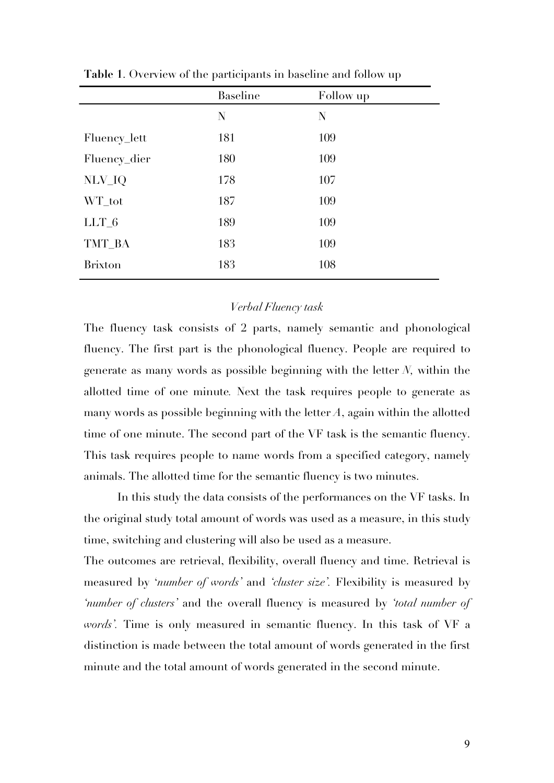|                | <b>Baseline</b> | Follow up |
|----------------|-----------------|-----------|
|                | N               | N         |
| Fluency_lett   | 181             | 109       |
| Fluency_dier   | 180             | 109       |
| NLV_IQ         | 178             | 107       |
| WT_tot         | 187             | 109       |
| $LLT_6$        | 189             | 109       |
| TMT_BA         | 183             | 109       |
| <b>Brixton</b> | 183             | 108       |

**Table 1**. Overview of the participants in baseline and follow up

# *Verbal Fluency task*

The fluency task consists of 2 parts, namely semantic and phonological fluency. The first part is the phonological fluency. People are required to generate as many words as possible beginning with the letter *N,* within the allotted time of one minute*.* Next the task requires people to generate as many words as possible beginning with the letter *A*, again within the allotted time of one minute. The second part of the VF task is the semantic fluency. This task requires people to name words from a specified category, namely animals. The allotted time for the semantic fluency is two minutes.

In this study the data consists of the performances on the VF tasks. In the original study total amount of words was used as a measure, in this study time, switching and clustering will also be used as a measure.

The outcomes are retrieval, flexibility, overall fluency and time. Retrieval is measured by '*number of words'* and *'cluster size'.* Flexibility is measured by *'number of clusters'* and the overall fluency is measured by *'total number of words'.* Time is only measured in semantic fluency. In this task of VF a distinction is made between the total amount of words generated in the first minute and the total amount of words generated in the second minute.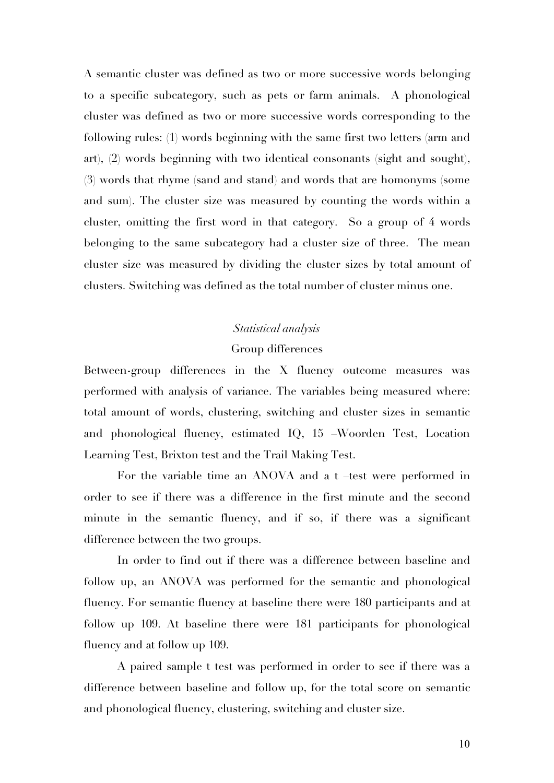A semantic cluster was defined as two or more successive words belonging to a specific subcategory, such as pets or farm animals. A phonological cluster was defined as two or more successive words corresponding to the following rules: (1) words beginning with the same first two letters (arm and art), (2) words beginning with two identical consonants (sight and sought), (3) words that rhyme (sand and stand) and words that are homonyms (some and sum). The cluster size was measured by counting the words within a cluster, omitting the first word in that category. So a group of 4 words belonging to the same subcategory had a cluster size of three. The mean cluster size was measured by dividing the cluster sizes by total amount of clusters. Switching was defined as the total number of cluster minus one.

# *Statistical analysis*

## Group differences

Between-group differences in the X fluency outcome measures was performed with analysis of variance. The variables being measured where: total amount of words, clustering, switching and cluster sizes in semantic and phonological fluency, estimated IQ, 15 –Woorden Test, Location Learning Test, Brixton test and the Trail Making Test.

For the variable time an ANOVA and a t –test were performed in order to see if there was a difference in the first minute and the second minute in the semantic fluency, and if so, if there was a significant difference between the two groups.

In order to find out if there was a difference between baseline and follow up, an ANOVA was performed for the semantic and phonological fluency. For semantic fluency at baseline there were 180 participants and at follow up 109. At baseline there were 181 participants for phonological fluency and at follow up 109.

A paired sample t test was performed in order to see if there was a difference between baseline and follow up, for the total score on semantic and phonological fluency, clustering, switching and cluster size.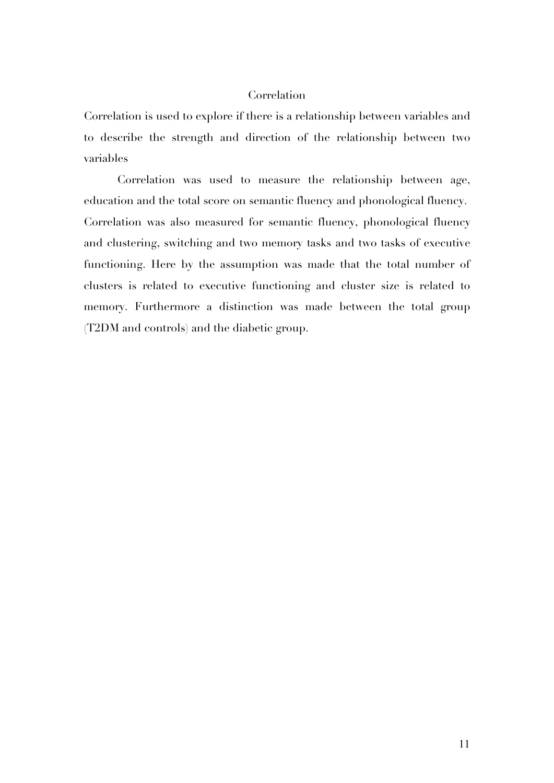# Correlation

Correlation is used to explore if there is a relationship between variables and to describe the strength and direction of the relationship between two variables

Correlation was used to measure the relationship between age, education and the total score on semantic fluency and phonological fluency. Correlation was also measured for semantic fluency, phonological fluency and clustering, switching and two memory tasks and two tasks of executive functioning. Here by the assumption was made that the total number of clusters is related to executive functioning and cluster size is related to memory. Furthermore a distinction was made between the total group (T2DM and controls) and the diabetic group.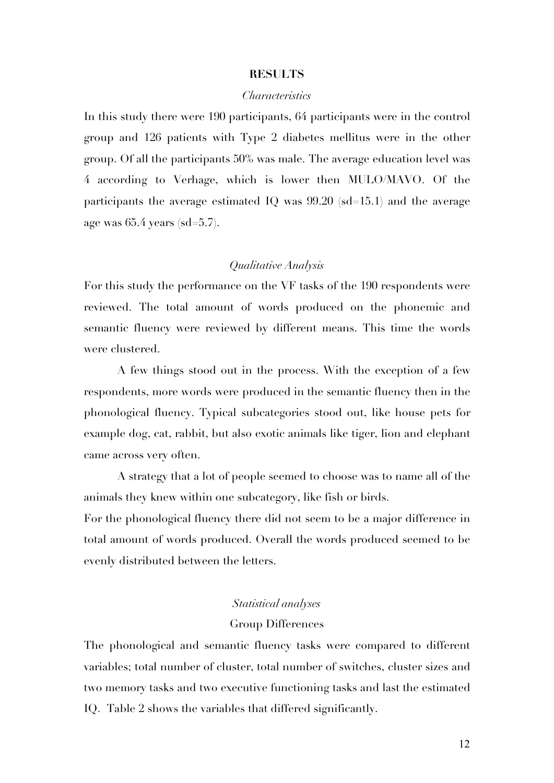## **RESULTS**

## *Characteristics*

In this study there were 190 participants, 64 participants were in the control group and 126 patients with Type 2 diabetes mellitus were in the other group. Of all the participants 50% was male. The average education level was 4 according to Verhage, which is lower then MULO/MAVO. Of the participants the average estimated IQ was  $99.20$  (sd=15.1) and the average age was 65.4 years (sd=5.7).

# *Qualitative Analysis*

For this study the performance on the VF tasks of the 190 respondents were reviewed. The total amount of words produced on the phonemic and semantic fluency were reviewed by different means. This time the words were clustered.

A few things stood out in the process. With the exception of a few respondents, more words were produced in the semantic fluency then in the phonological fluency. Typical subcategories stood out, like house pets for example dog, cat, rabbit, but also exotic animals like tiger, lion and elephant came across very often.

A strategy that a lot of people seemed to choose was to name all of the animals they knew within one subcategory, like fish or birds.

For the phonological fluency there did not seem to be a major difference in total amount of words produced. Overall the words produced seemed to be evenly distributed between the letters.

# *Statistical analyses*

## Group Differences

The phonological and semantic fluency tasks were compared to different variables; total number of cluster, total number of switches, cluster sizes and two memory tasks and two executive functioning tasks and last the estimated IQ. Table 2 shows the variables that differed significantly.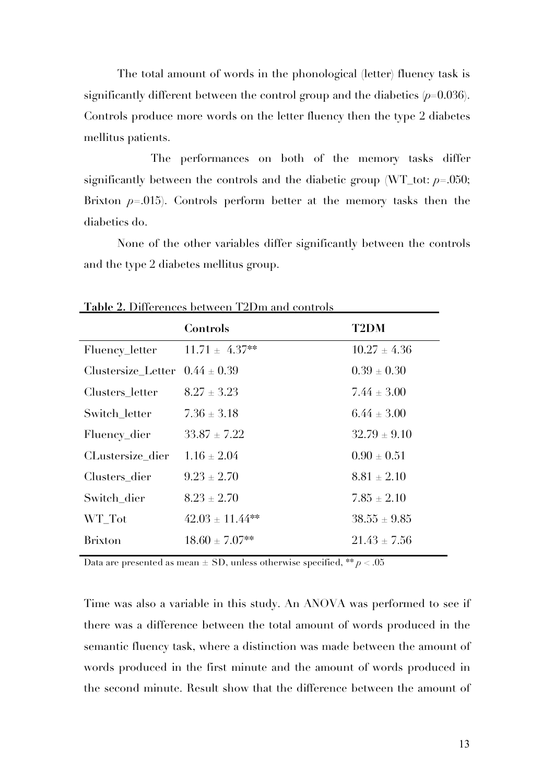The total amount of words in the phonological (letter) fluency task is significantly different between the control group and the diabetics (*p=*0.036). Controls produce more words on the letter fluency then the type 2 diabetes mellitus patients.

The performances on both of the memory tasks differ significantly between the controls and the diabetic group  $(WT_{\text{-}tot}: p=.050;$ Brixton *p*=.015). Controls perform better at the memory tasks then the diabetics do.

None of the other variables differ significantly between the controls and the type 2 diabetes mellitus group.

|                                    | Controls             | <b>T2DM</b>      |
|------------------------------------|----------------------|------------------|
| Fluency_letter                     | $11.71 \pm 4.37**$   | $10.27 \pm 4.36$ |
| Clustersize Letter $0.44 \pm 0.39$ |                      | $0.39 \pm 0.30$  |
| Clusters letter                    | $8.27 \pm 3.23$      | $7.44 \pm 3.00$  |
| Switch letter                      | $7.36 \pm 3.18$      | $6.44 \pm 3.00$  |
| Fluency_dier                       | $33.87 \pm 7.22$     | $32.79 \pm 9.10$ |
| CLustersize dier                   | $1.16 \pm 2.04$      | $0.90 \pm 0.51$  |
| Clusters dier                      | $9.23 \pm 2.70$      | $8.81 \pm 2.10$  |
| Switch dier                        | $8.23 + 2.70$        | $7.85 \pm 2.10$  |
| WT Tot                             | $42.03 \pm 11.44$ ** | $38.55 \pm 9.85$ |
| <b>Brixton</b>                     | $18.60 \pm 7.07$ **  | $21.43 \pm 7.56$ |

**Table 2.** Differences between T2Dm and controls

Data are presented as mean  $\pm$  SD, unless otherwise specified, \*\*  $p < .05$ 

Time was also a variable in this study. An ANOVA was performed to see if there was a difference between the total amount of words produced in the semantic fluency task, where a distinction was made between the amount of words produced in the first minute and the amount of words produced in the second minute. Result show that the difference between the amount of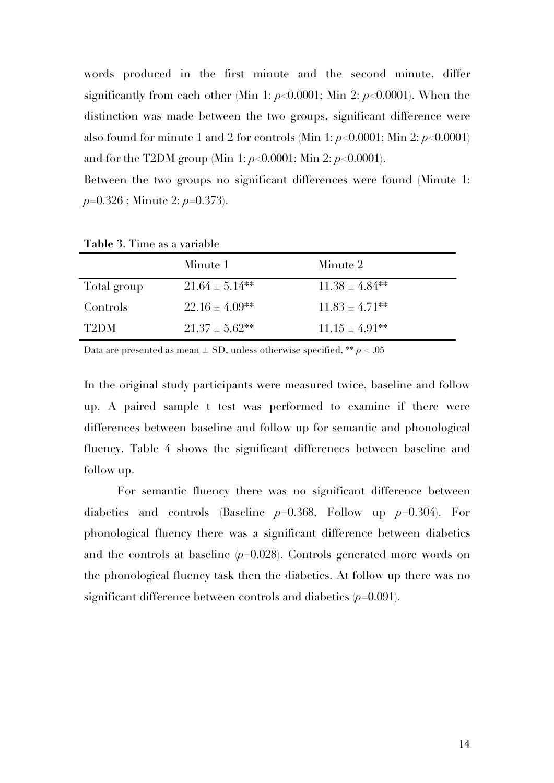words produced in the first minute and the second minute, differ significantly from each other (Min 1: *p*<0.0001; Min 2: *p*<0.0001). When the distinction was made between the two groups, significant difference were also found for minute 1 and 2 for controls (Min 1: *p*<0.0001; Min 2: *p*<0.0001) and for the T2DM group (Min 1: *p*<0.0001; Min 2: *p*<0.0001).

Between the two groups no significant differences were found (Minute 1: *p*=0.326 ; Minute 2: *p*=0.373).

|             | Minute 1            | Minute 2            |
|-------------|---------------------|---------------------|
| Total group | $21.64 \pm 5.14$ ** | $11.38 \pm 4.84$ ** |
| Controls    | $22.16 \pm 4.09**$  | $11.83 \pm 4.71$ ** |
| T2DM        | $21.37 \pm 5.62$ ** | $11.15 \pm 4.91**$  |

**Table 3**. Time as a variable

Data are presented as mean ± SD, unless otherwise specified, \*\* *p* < .05

In the original study participants were measured twice, baseline and follow up. A paired sample t test was performed to examine if there were differences between baseline and follow up for semantic and phonological fluency. Table 4 shows the significant differences between baseline and follow up.

For semantic fluency there was no significant difference between diabetics and controls (Baseline *p*=0.368, Follow up *p*=0.304). For phonological fluency there was a significant difference between diabetics and the controls at baseline (*p*=0.028). Controls generated more words on the phonological fluency task then the diabetics. At follow up there was no significant difference between controls and diabetics (*p*=0.091).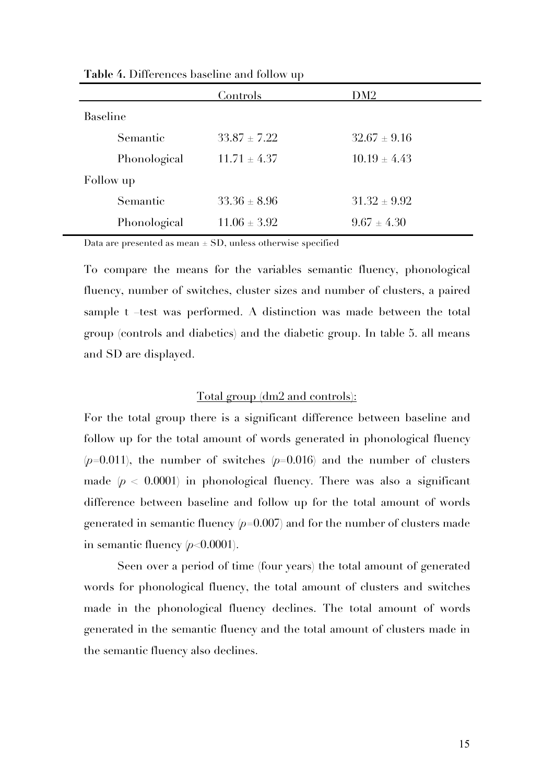|                 |              | Controls         | DM2              |
|-----------------|--------------|------------------|------------------|
| <b>Baseline</b> |              |                  |                  |
|                 | Semantic     | $33.87 \pm 7.22$ | $32.67 \pm 9.16$ |
|                 | Phonological | $11.71 \pm 4.37$ | $10.19 \pm 4.43$ |
| Follow up       |              |                  |                  |
|                 | Semantic     | $33.36 \pm 8.96$ | $31.32 \pm 9.92$ |
|                 | Phonological | $11.06 \pm 3.92$ | $9.67 \pm 4.30$  |

**Table 4.** Differences baseline and follow up

Data are presented as mean  $\pm$  SD, unless otherwise specified

To compare the means for the variables semantic fluency, phonological fluency, number of switches, cluster sizes and number of clusters, a paired sample t –test was performed. A distinction was made between the total group (controls and diabetics) and the diabetic group. In table 5. all means and SD are displayed.

## Total group (dm2 and controls):

For the total group there is a significant difference between baseline and follow up for the total amount of words generated in phonological fluency  $(p=0.011)$ , the number of switches  $(p=0.016)$  and the number of clusters made  $(p < 0.0001)$  in phonological fluency. There was also a significant difference between baseline and follow up for the total amount of words generated in semantic fluency  $(p=0.007)$  and for the number of clusters made in semantic fluency (*p*<0.0001).

Seen over a period of time (four years) the total amount of generated words for phonological fluency, the total amount of clusters and switches made in the phonological fluency declines. The total amount of words generated in the semantic fluency and the total amount of clusters made in the semantic fluency also declines.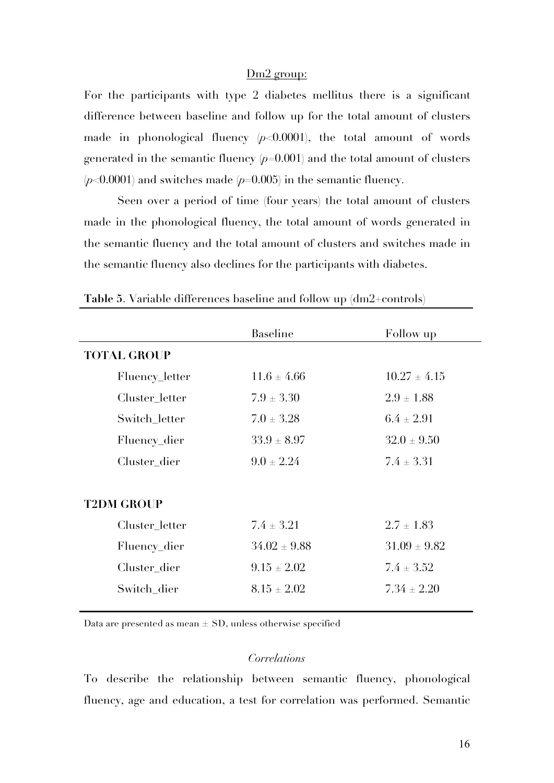## Dm2 group:

For the participants with type 2 diabetes mellitus there is a significant difference between baseline and follow up for the total amount of clusters made in phonological fluency  $(p<0.0001)$ , the total amount of words generated in the semantic fluency (*p*=0.001) and the total amount of clusters  $(p<0.0001)$  and switches made  $(p=0.005)$  in the semantic fluency.

Seen over a period of time (four years) the total amount of clusters made in the phonological fluency, the total amount of words generated in the semantic fluency and the total amount of clusters and switches made in the semantic fluency also declines for the participants with diabetes.

|                    | <b>Baseline</b>  | Follow up        |
|--------------------|------------------|------------------|
| <b>TOTAL GROUP</b> |                  |                  |
| Fluency_letter     | $11.6 \pm 4.66$  | $10.27 \pm 4.15$ |
| Cluster letter     | $7.9 \pm 3.30$   | $2.9 \pm 1.88$   |
| Switch letter      | $7.0 \pm 3.28$   | $6.4 \pm 2.91$   |
| Fluency_dier       | $33.9 \pm 8.97$  | $32.0 \pm 9.50$  |
| Cluster_dier       | $9.0 \pm 2.24$   | $7.4 \pm 3.31$   |
|                    |                  |                  |
| <b>T2DM GROUP</b>  |                  |                  |
| Cluster letter     | $7.4 \pm 3.21$   | $2.7 \pm 1.83$   |
| Fluency_dier       | $34.02 \pm 9.88$ | $31.09 \pm 9.82$ |
| Cluster_dier       | $9.15 \pm 2.02$  | $7.4 \pm 3.52$   |
| Switch dier        | $8.15 \pm 2.02$  | $7.34 \pm 2.20$  |
|                    |                  |                  |

**Table 5**. Variable differences baseline and follow up (dm2+controls)

Data are presented as mean  $\pm$  SD, unless otherwise specified

# *Correlations*

To describe the relationship between semantic fluency, phonological fluency, age and education, a test for correlation was performed. Semantic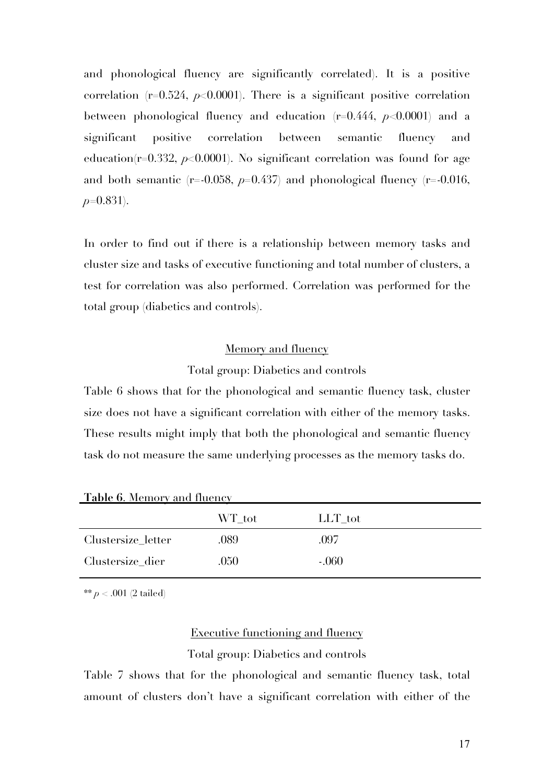and phonological fluency are significantly correlated). It is a positive correlation  $(r=0.524, p<0.0001)$ . There is a significant positive correlation between phonological fluency and education (r=0.444, *p*<0.0001) and a significant positive correlation between semantic fluency and education( $r=0.332$ ,  $p<0.0001$ ). No significant correlation was found for age and both semantic  $(r=0.058, p=0.437)$  and phonological fluency  $(r=0.016,$ *p*=0.831).

In order to find out if there is a relationship between memory tasks and cluster size and tasks of executive functioning and total number of clusters, a test for correlation was also performed. Correlation was performed for the total group (diabetics and controls).

## Memory and fluency

## Total group: Diabetics and controls

Table 6 shows that for the phonological and semantic fluency task, cluster size does not have a significant correlation with either of the memory tasks. These results might imply that both the phonological and semantic fluency task do not measure the same underlying processes as the memory tasks do.

|  | <b>Table 6. Memory and fluency</b> |  |  |
|--|------------------------------------|--|--|
|  |                                    |  |  |

|                    | WT tot | LLT_tot |
|--------------------|--------|---------|
| Clustersize_letter | .089   | .097    |
| Clustersize_dier   | .050   | $-.060$ |
|                    |        |         |

\*\* *p* < .001 (2 tailed)

# Executive functioning and fluency Total group: Diabetics and controls

Table 7 shows that for the phonological and semantic fluency task, total amount of clusters don't have a significant correlation with either of the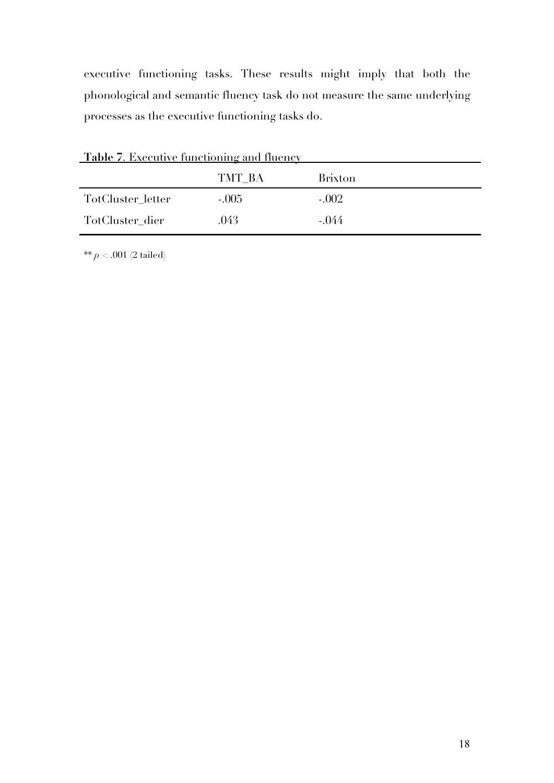executive functioning tasks. These results might imply that both the phonological and semantic fluency task do not measure the same underlying processes as the executive functioning tasks do.

| <u>Table 7. Executive functioning and fluency</u> |         |                |  |  |
|---------------------------------------------------|---------|----------------|--|--|
|                                                   | TMT BA  | <b>Brixton</b> |  |  |
| TotCluster letter                                 | $-.005$ | $-.002$        |  |  |
| TotCluster dier                                   | .043    | $-.044$        |  |  |
|                                                   |         |                |  |  |

\*\* *p* < .001 (2 tailed)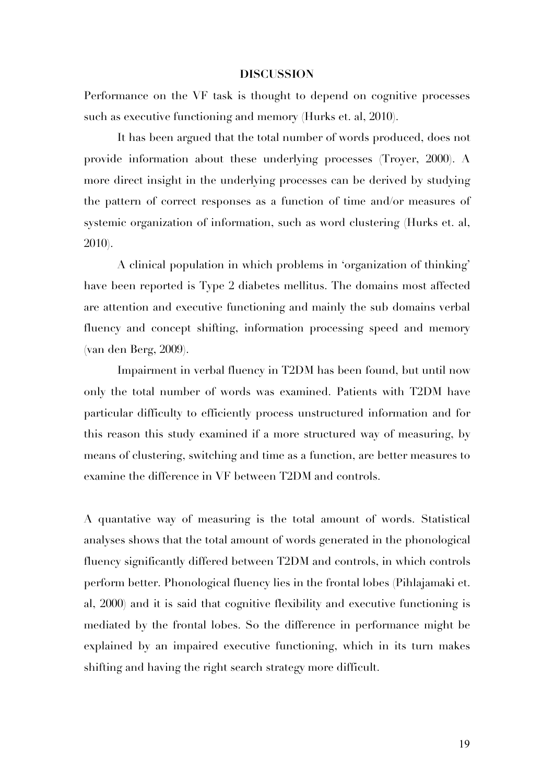#### **DISCUSSION**

Performance on the VF task is thought to depend on cognitive processes such as executive functioning and memory (Hurks et. al, 2010).

It has been argued that the total number of words produced, does not provide information about these underlying processes (Troyer, 2000). A more direct insight in the underlying processes can be derived by studying the pattern of correct responses as a function of time and/or measures of systemic organization of information, such as word clustering (Hurks et. al, 2010).

A clinical population in which problems in 'organization of thinking' have been reported is Type 2 diabetes mellitus. The domains most affected are attention and executive functioning and mainly the sub domains verbal fluency and concept shifting, information processing speed and memory (van den Berg, 2009).

Impairment in verbal fluency in T2DM has been found, but until now only the total number of words was examined. Patients with T2DM have particular difficulty to efficiently process unstructured information and for this reason this study examined if a more structured way of measuring, by means of clustering, switching and time as a function, are better measures to examine the difference in VF between T2DM and controls.

A quantative way of measuring is the total amount of words. Statistical analyses shows that the total amount of words generated in the phonological fluency significantly differed between T2DM and controls, in which controls perform better. Phonological fluency lies in the frontal lobes (Pihlajamaki et. al, 2000) and it is said that cognitive flexibility and executive functioning is mediated by the frontal lobes. So the difference in performance might be explained by an impaired executive functioning, which in its turn makes shifting and having the right search strategy more difficult.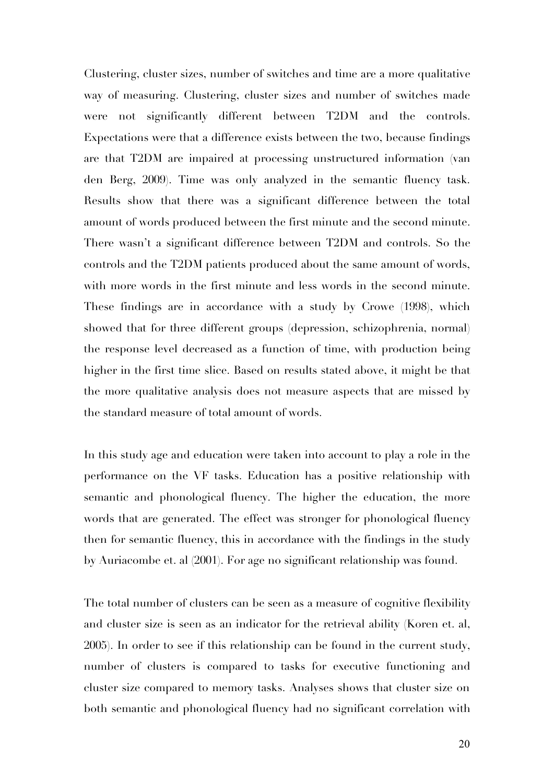Clustering, cluster sizes, number of switches and time are a more qualitative way of measuring. Clustering, cluster sizes and number of switches made were not significantly different between T2DM and the controls. Expectations were that a difference exists between the two, because findings are that T2DM are impaired at processing unstructured information (van den Berg, 2009). Time was only analyzed in the semantic fluency task. Results show that there was a significant difference between the total amount of words produced between the first minute and the second minute. There wasn't a significant difference between T2DM and controls. So the controls and the T2DM patients produced about the same amount of words, with more words in the first minute and less words in the second minute. These findings are in accordance with a study by Crowe (1998), which showed that for three different groups (depression, schizophrenia, normal) the response level decreased as a function of time, with production being higher in the first time slice. Based on results stated above, it might be that the more qualitative analysis does not measure aspects that are missed by the standard measure of total amount of words.

In this study age and education were taken into account to play a role in the performance on the VF tasks. Education has a positive relationship with semantic and phonological fluency. The higher the education, the more words that are generated. The effect was stronger for phonological fluency then for semantic fluency, this in accordance with the findings in the study by Auriacombe et. al (2001). For age no significant relationship was found.

The total number of clusters can be seen as a measure of cognitive flexibility and cluster size is seen as an indicator for the retrieval ability (Koren et. al, 2005). In order to see if this relationship can be found in the current study, number of clusters is compared to tasks for executive functioning and cluster size compared to memory tasks. Analyses shows that cluster size on both semantic and phonological fluency had no significant correlation with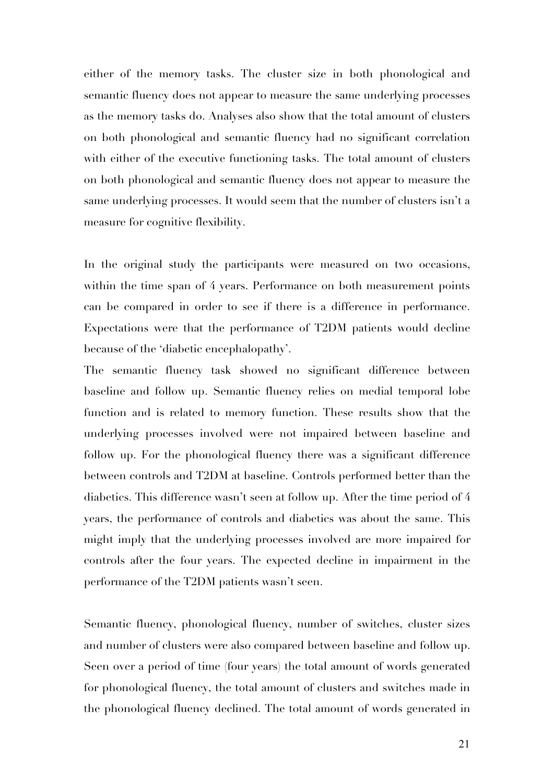either of the memory tasks. The cluster size in both phonological and semantic fluency does not appear to measure the same underlying processes as the memory tasks do. Analyses also show that the total amount of clusters on both phonological and semantic fluency had no significant correlation with either of the executive functioning tasks. The total amount of clusters on both phonological and semantic fluency does not appear to measure the same underlying processes. It would seem that the number of clusters isn't a measure for cognitive flexibility.

In the original study the participants were measured on two occasions, within the time span of 4 years. Performance on both measurement points can be compared in order to see if there is a difference in performance. Expectations were that the performance of T2DM patients would decline because of the 'diabetic encephalopathy'.

The semantic fluency task showed no significant difference between baseline and follow up. Semantic fluency relies on medial temporal lobe function and is related to memory function. These results show that the underlying processes involved were not impaired between baseline and follow up. For the phonological fluency there was a significant difference between controls and T2DM at baseline. Controls performed better than the diabetics. This difference wasn't seen at follow up. After the time period of 4 years, the performance of controls and diabetics was about the same. This might imply that the underlying processes involved are more impaired for controls after the four years. The expected decline in impairment in the performance of the T2DM patients wasn't seen.

Semantic fluency, phonological fluency, number of switches, cluster sizes and number of clusters were also compared between baseline and follow up. Seen over a period of time (four years) the total amount of words generated for phonological fluency, the total amount of clusters and switches made in the phonological fluency declined. The total amount of words generated in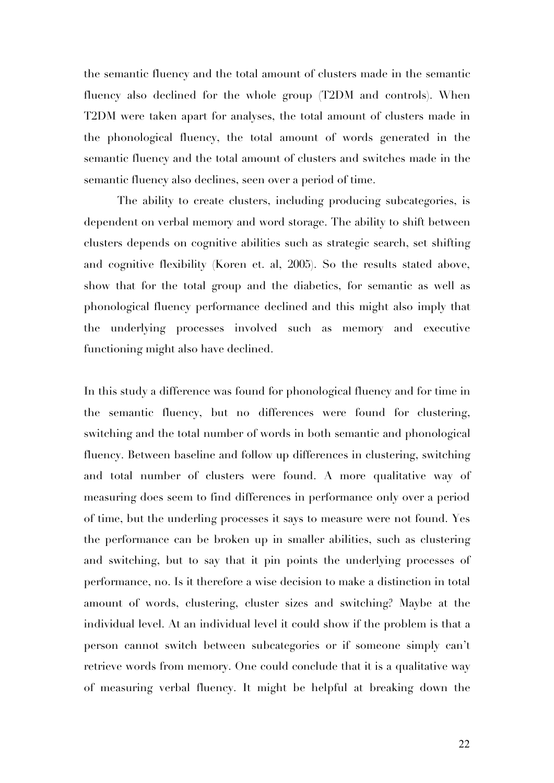the semantic fluency and the total amount of clusters made in the semantic fluency also declined for the whole group (T2DM and controls). When T2DM were taken apart for analyses, the total amount of clusters made in the phonological fluency, the total amount of words generated in the semantic fluency and the total amount of clusters and switches made in the semantic fluency also declines, seen over a period of time.

The ability to create clusters, including producing subcategories, is dependent on verbal memory and word storage. The ability to shift between clusters depends on cognitive abilities such as strategic search, set shifting and cognitive flexibility (Koren et. al, 2005). So the results stated above, show that for the total group and the diabetics, for semantic as well as phonological fluency performance declined and this might also imply that the underlying processes involved such as memory and executive functioning might also have declined.

In this study a difference was found for phonological fluency and for time in the semantic fluency, but no differences were found for clustering, switching and the total number of words in both semantic and phonological fluency. Between baseline and follow up differences in clustering, switching and total number of clusters were found. A more qualitative way of measuring does seem to find differences in performance only over a period of time, but the underling processes it says to measure were not found. Yes the performance can be broken up in smaller abilities, such as clustering and switching, but to say that it pin points the underlying processes of performance, no. Is it therefore a wise decision to make a distinction in total amount of words, clustering, cluster sizes and switching? Maybe at the individual level. At an individual level it could show if the problem is that a person cannot switch between subcategories or if someone simply can't retrieve words from memory. One could conclude that it is a qualitative way of measuring verbal fluency. It might be helpful at breaking down the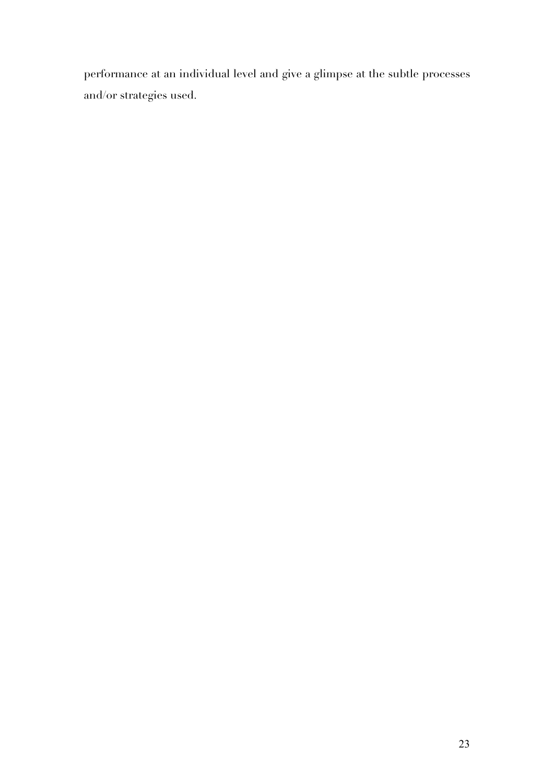performance at an individual level and give a glimpse at the subtle processes and/or strategies used.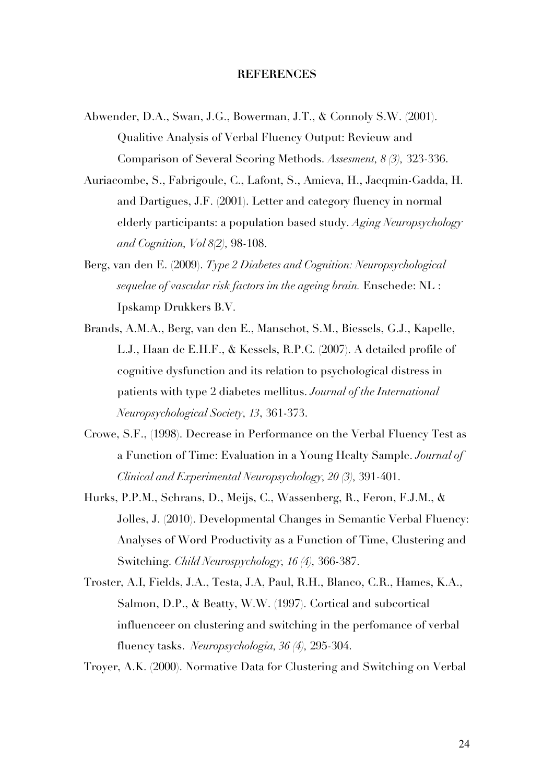## **REFERENCES**

- Abwender, D.A., Swan, J.G., Bowerman, J.T., & Connoly S.W. (2001). Qualitive Analysis of Verbal Fluency Output: Revieuw and Comparison of Several Scoring Methods. *Assesment, 8 (3),* 323-336.
- Auriacombe, S., Fabrigoule, C., Lafont, S., Amieva, H., Jacqmin-Gadda, H. and Dartigues, J.F. (2001). Letter and category fluency in normal elderly participants: a population based study. *Aging Neuropsychology and Cognition, Vol 8(2),* 98-108.
- Berg, van den E. (2009). *Type 2 Diabetes and Cognition: Neuropsychological sequelae of vascular risk factors im the ageing brain.* Enschede: NL : Ipskamp Drukkers B.V.
- Brands, A.M.A., Berg, van den E., Manschot, S.M., Biessels, G.J., Kapelle, L.J., Haan de E.H.F., & Kessels, R.P.C. (2007). A detailed profile of cognitive dysfunction and its relation to psychological distress in patients with type 2 diabetes mellitus. *Journal of the International Neuropsychological Society, 13*, 361-373.
- Crowe, S.F., (1998). Decrease in Performance on the Verbal Fluency Test as a Function of Time: Evaluation in a Young Healty Sample. *Journal of Clinical and Experimental Neuropsychology, 20 (3),* 391-401.
- Hurks, P.P.M., Schrans, D., Meijs, C., Wassenberg, R., Feron, F.J.M., & Jolles, J. (2010). Developmental Changes in Semantic Verbal Fluency: Analyses of Word Productivity as a Function of Time, Clustering and Switching. *Child Neurospychology, 16 (4),* 366-387.
- Troster, A.I, Fields, J.A., Testa, J.A, Paul, R.H., Blanco, C.R., Hames, K.A., Salmon, D.P., & Beatty, W.W. (1997). Cortical and subcortical influenceer on clustering and switching in the perfomance of verbal fluency tasks. *Neuropsychologia, 36 (4),* 295-304.

Troyer, A.K. (2000). Normative Data for Clustering and Switching on Verbal